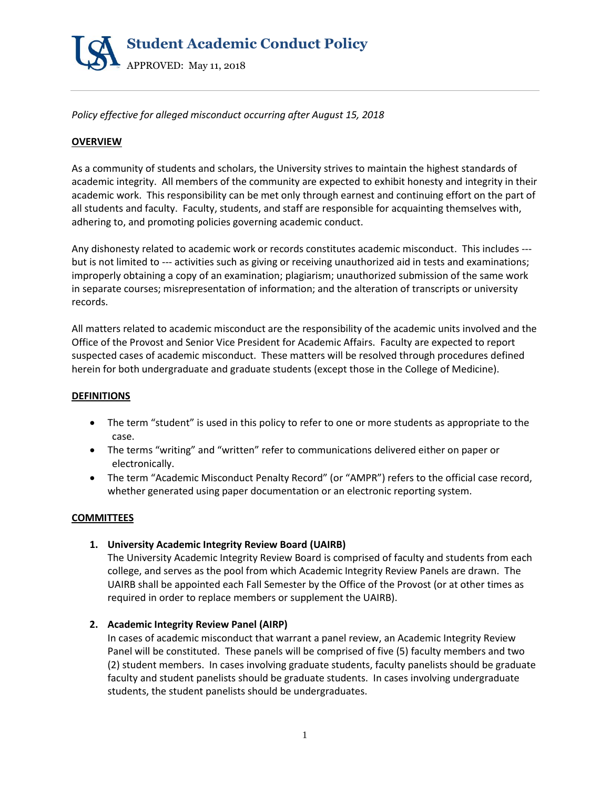

*Policy effective for alleged misconduct occurring after August 15, 2018* 

# **OVERVIEW**

As a community of students and scholars, the University strives to maintain the highest standards of academic integrity. All members of the community are expected to exhibit honesty and integrity in their academic work. This responsibility can be met only through earnest and continuing effort on the part of all students and faculty. Faculty, students, and staff are responsible for acquainting themselves with, adhering to, and promoting policies governing academic conduct.

Any dishonesty related to academic work or records constitutes academic misconduct. This includes -- but is not limited to --- activities such as giving or receiving unauthorized aid in tests and examinations; improperly obtaining a copy of an examination; plagiarism; unauthorized submission of the same work in separate courses; misrepresentation of information; and the alteration of transcripts or university records.

All matters related to academic misconduct are the responsibility of the academic units involved and the Office of the Provost and Senior Vice President for Academic Affairs. Faculty are expected to report suspected cases of academic misconduct. These matters will be resolved through procedures defined herein for both undergraduate and graduate students (except those in the College of Medicine).

#### **DEFINITIONS**

- The term "student" is used in this policy to refer to one or more students as appropriate to the case.
- The terms "writing" and "written" refer to communications delivered either on paper or electronically.
- The term "Academic Misconduct Penalty Record" (or "AMPR") refers to the official case record, whether generated using paper documentation or an electronic reporting system.

# **COMMITTEES**

**1. University Academic Integrity Review Board (UAIRB)**

The University Academic Integrity Review Board is comprised of faculty and students from each college, and serves as the pool from which Academic Integrity Review Panels are drawn. The UAIRB shall be appointed each Fall Semester by the Office of the Provost (or at other times as required in order to replace members or supplement the UAIRB).

# **2. Academic Integrity Review Panel (AIRP)**

In cases of academic misconduct that warrant a panel review, an Academic Integrity Review Panel will be constituted. These panels will be comprised of five (5) faculty members and two (2) student members. In cases involving graduate students, faculty panelists should be graduate faculty and student panelists should be graduate students. In cases involving undergraduate students, the student panelists should be undergraduates.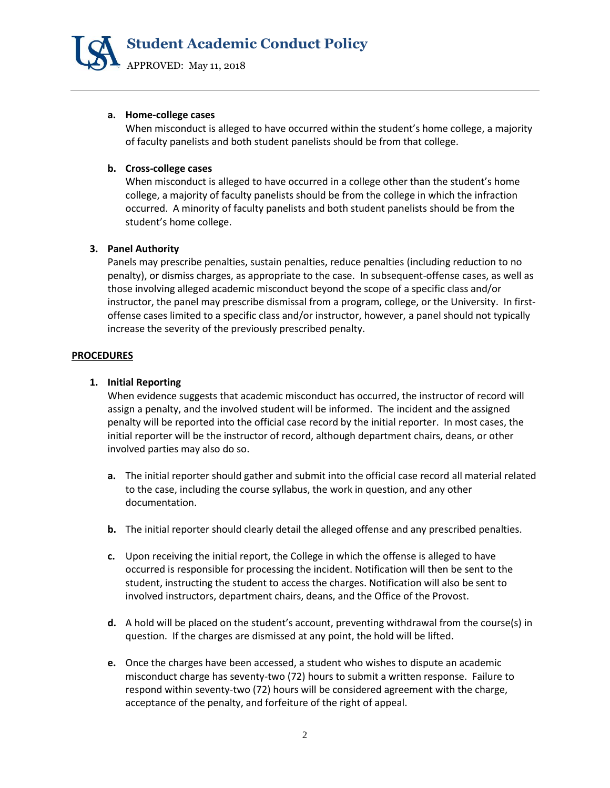

#### **a. Home-college cases**

When misconduct is alleged to have occurred within the student's home college, a majority of faculty panelists and both student panelists should be from that college.

### **b. Cross-college cases**

When misconduct is alleged to have occurred in a college other than the student's home college, a majority of faculty panelists should be from the college in which the infraction occurred. A minority of faculty panelists and both student panelists should be from the student's home college.

### **3. Panel Authority**

Panels may prescribe penalties, sustain penalties, reduce penalties (including reduction to no penalty), or dismiss charges, as appropriate to the case. In subsequent-offense cases, as well as those involving alleged academic misconduct beyond the scope of a specific class and/or instructor, the panel may prescribe dismissal from a program, college, or the University. In firstoffense cases limited to a specific class and/or instructor, however, a panel should not typically increase the severity of the previously prescribed penalty.

### **PROCEDURES**

### **1. Initial Reporting**

When evidence suggests that academic misconduct has occurred, the instructor of record will assign a penalty, and the involved student will be informed. The incident and the assigned penalty will be reported into the official case record by the initial reporter. In most cases, the initial reporter will be the instructor of record, although department chairs, deans, or other involved parties may also do so.

- **a.** The initial reporter should gather and submit into the official case record all material related to the case, including the course syllabus, the work in question, and any other documentation.
- **b.** The initial reporter should clearly detail the alleged offense and any prescribed penalties.
- **c.** Upon receiving the initial report, the College in which the offense is alleged to have occurred is responsible for processing the incident. Notification will then be sent to the student, instructing the student to access the charges. Notification will also be sent to involved instructors, department chairs, deans, and the Office of the Provost.
- **d.** A hold will be placed on the student's account, preventing withdrawal from the course(s) in question. If the charges are dismissed at any point, the hold will be lifted.
- **e.** Once the charges have been accessed, a student who wishes to dispute an academic misconduct charge has seventy-two (72) hours to submit a written response. Failure to respond within seventy-two (72) hours will be considered agreement with the charge, acceptance of the penalty, and forfeiture of the right of appeal.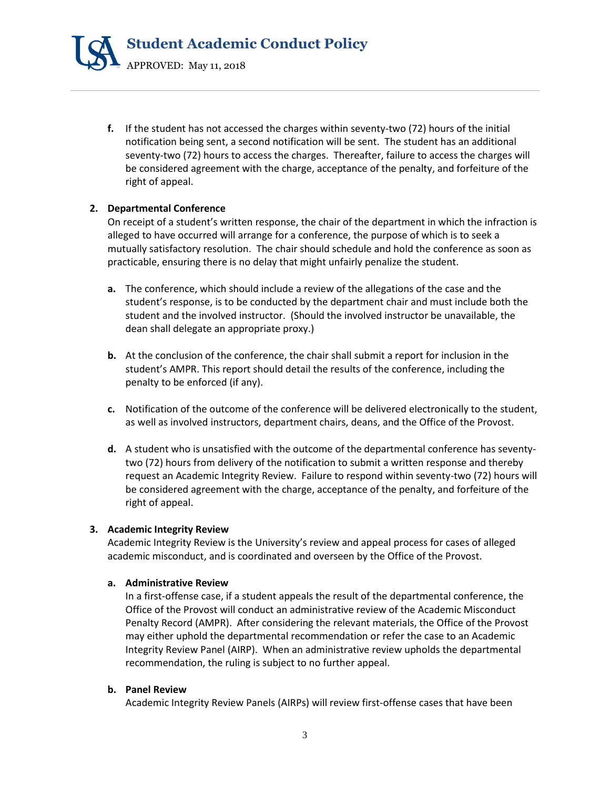

**f.** If the student has not accessed the charges within seventy-two (72) hours of the initial notification being sent, a second notification will be sent. The student has an additional seventy-two (72) hours to access the charges. Thereafter, failure to access the charges will be considered agreement with the charge, acceptance of the penalty, and forfeiture of the right of appeal.

# **2. Departmental Conference**

On receipt of a student's written response, the chair of the department in which the infraction is alleged to have occurred will arrange for a conference, the purpose of which is to seek a mutually satisfactory resolution. The chair should schedule and hold the conference as soon as practicable, ensuring there is no delay that might unfairly penalize the student.

- **a.** The conference, which should include a review of the allegations of the case and the student's response, is to be conducted by the department chair and must include both the student and the involved instructor. (Should the involved instructor be unavailable, the dean shall delegate an appropriate proxy.)
- **b.** At the conclusion of the conference, the chair shall submit a report for inclusion in the student's AMPR. This report should detail the results of the conference, including the penalty to be enforced (if any).
- **c.** Notification of the outcome of the conference will be delivered electronically to the student, as well as involved instructors, department chairs, deans, and the Office of the Provost.
- **d.** A student who is unsatisfied with the outcome of the departmental conference has seventytwo (72) hours from delivery of the notification to submit a written response and thereby request an Academic Integrity Review. Failure to respond within seventy-two (72) hours will be considered agreement with the charge, acceptance of the penalty, and forfeiture of the right of appeal.

# **3. Academic Integrity Review**

Academic Integrity Review is the University's review and appeal process for cases of alleged academic misconduct, and is coordinated and overseen by the Office of the Provost.

#### **a. Administrative Review**

In a first-offense case, if a student appeals the result of the departmental conference, the Office of the Provost will conduct an administrative review of the Academic Misconduct Penalty Record (AMPR). After considering the relevant materials, the Office of the Provost may either uphold the departmental recommendation or refer the case to an Academic Integrity Review Panel (AIRP). When an administrative review upholds the departmental recommendation, the ruling is subject to no further appeal.

# **b. Panel Review**

Academic Integrity Review Panels (AIRPs) will review first-offense cases that have been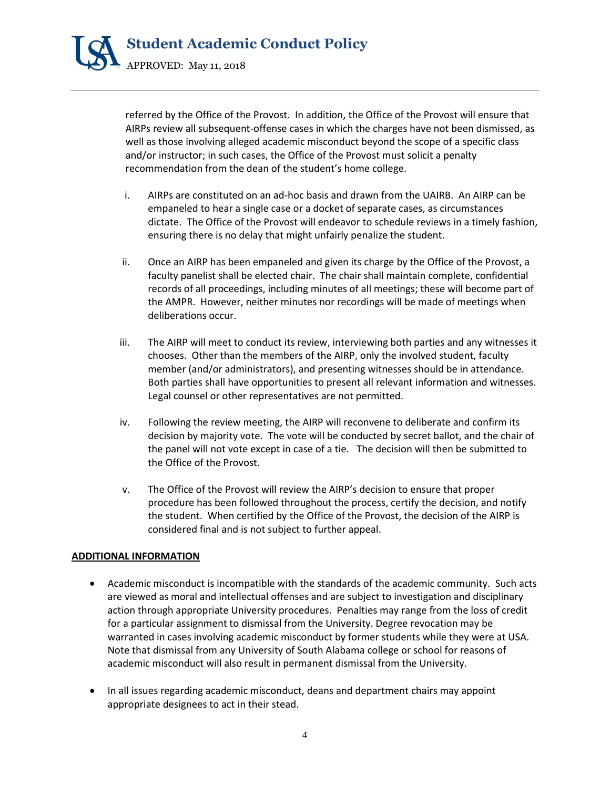

referred by the Office of the Provost. In addition, the Office of the Provost will ensure that AIRPs review all subsequent-offense cases in which the charges have not been dismissed, as well as those involving alleged academic misconduct beyond the scope of a specific class and/or instructor; in such cases, the Office of the Provost must solicit a penalty recommendation from the dean of the student's home college.

- i. AIRPs are constituted on an ad-hoc basis and drawn from the UAIRB. An AIRP can be empaneled to hear a single case or a docket of separate cases, as circumstances dictate. The Office of the Provost will endeavor to schedule reviews in a timely fashion, ensuring there is no delay that might unfairly penalize the student.
- ii. Once an AIRP has been empaneled and given its charge by the Office of the Provost, a faculty panelist shall be elected chair. The chair shall maintain complete, confidential records of all proceedings, including minutes of all meetings; these will become part of the AMPR. However, neither minutes nor recordings will be made of meetings when deliberations occur.
- iii. The AIRP will meet to conduct its review, interviewing both parties and any witnesses it chooses. Other than the members of the AIRP, only the involved student, faculty member (and/or administrators), and presenting witnesses should be in attendance. Both parties shall have opportunities to present all relevant information and witnesses. Legal counsel or other representatives are not permitted.
- iv. Following the review meeting, the AIRP will reconvene to deliberate and confirm its decision by majority vote. The vote will be conducted by secret ballot, and the chair of the panel will not vote except in case of a tie. The decision will then be submitted to the Office of the Provost.
- v. The Office of the Provost will review the AIRP's decision to ensure that proper procedure has been followed throughout the process, certify the decision, and notify the student. When certified by the Office of the Provost, the decision of the AIRP is considered final and is not subject to further appeal.

#### **ADDITIONAL INFORMATION**

- Academic misconduct is incompatible with the standards of the academic community. Such acts are viewed as moral and intellectual offenses and are subject to investigation and disciplinary action through appropriate University procedures. Penalties may range from the loss of credit for a particular assignment to dismissal from the University. Degree revocation may be warranted in cases involving academic misconduct by former students while they were at USA. Note that dismissal from any University of South Alabama college or school for reasons of academic misconduct will also result in permanent dismissal from the University.
- In all issues regarding academic misconduct, deans and department chairs may appoint appropriate designees to act in their stead.